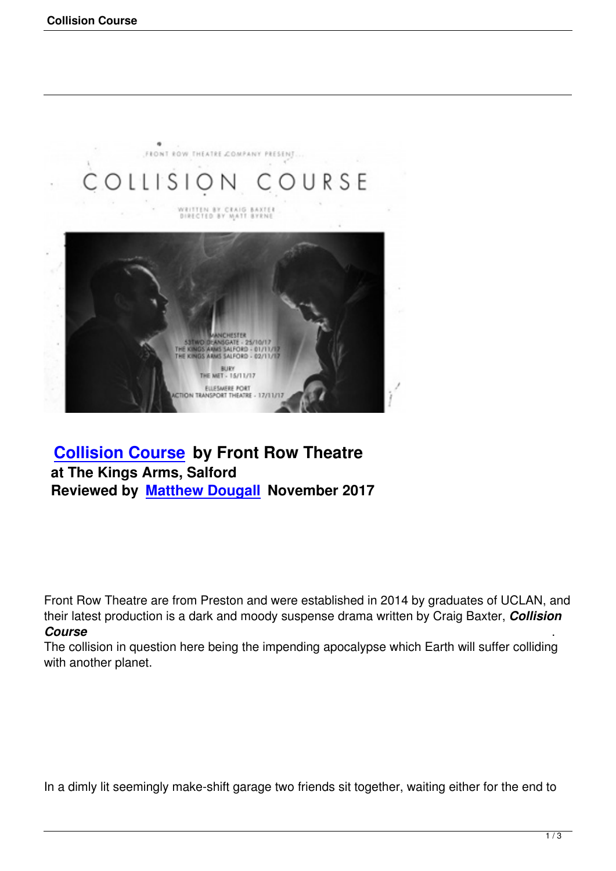

## **Collision Course by Front Row Theatre at The Kings Arms, Salford [Reviewed by Matthe](collision-course.html)w Dougall November 2017**

Front Row Theatre are from Preston and were established in 2014 by graduates of UCLAN, and their latest production is a dark and moody suspense drama written by Craig Baxter, *Collision Course* .

The collision in question here being the impending apocalypse which Earth will suffer colliding with another planet.

In a dimly lit seemingly make-shift garage two friends sit together, waiting either for the end to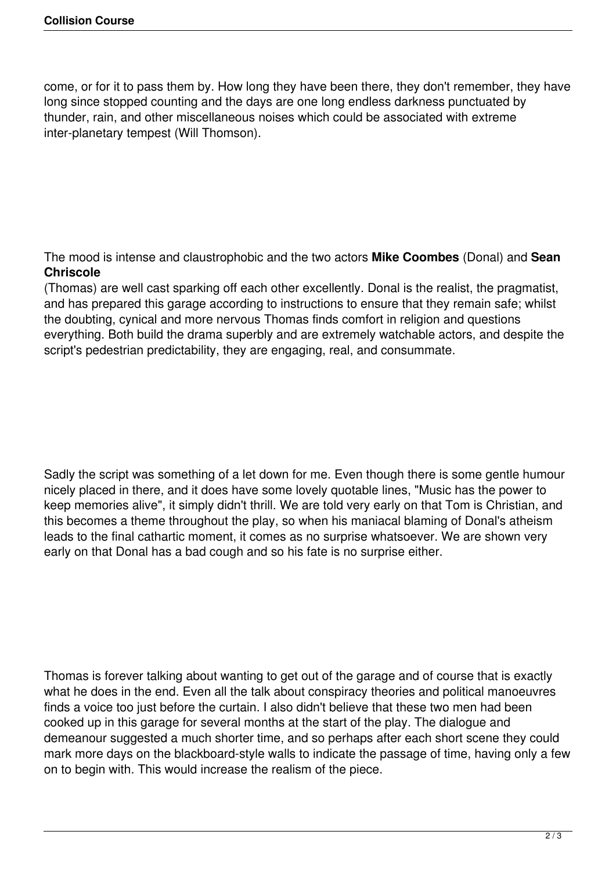come, or for it to pass them by. How long they have been there, they don't remember, they have long since stopped counting and the days are one long endless darkness punctuated by thunder, rain, and other miscellaneous noises which could be associated with extreme inter-planetary tempest (Will Thomson).

The mood is intense and claustrophobic and the two actors **Mike Coombes** (Donal) and **Sean Chriscole**

(Thomas) are well cast sparking off each other excellently. Donal is the realist, the pragmatist, and has prepared this garage according to instructions to ensure that they remain safe; whilst the doubting, cynical and more nervous Thomas finds comfort in religion and questions everything. Both build the drama superbly and are extremely watchable actors, and despite the script's pedestrian predictability, they are engaging, real, and consummate.

Sadly the script was something of a let down for me. Even though there is some gentle humour nicely placed in there, and it does have some lovely quotable lines, "Music has the power to keep memories alive", it simply didn't thrill. We are told very early on that Tom is Christian, and this becomes a theme throughout the play, so when his maniacal blaming of Donal's atheism leads to the final cathartic moment, it comes as no surprise whatsoever. We are shown very early on that Donal has a bad cough and so his fate is no surprise either.

Thomas is forever talking about wanting to get out of the garage and of course that is exactly what he does in the end. Even all the talk about conspiracy theories and political manoeuvres finds a voice too just before the curtain. I also didn't believe that these two men had been cooked up in this garage for several months at the start of the play. The dialogue and demeanour suggested a much shorter time, and so perhaps after each short scene they could mark more days on the blackboard-style walls to indicate the passage of time, having only a few on to begin with. This would increase the realism of the piece.